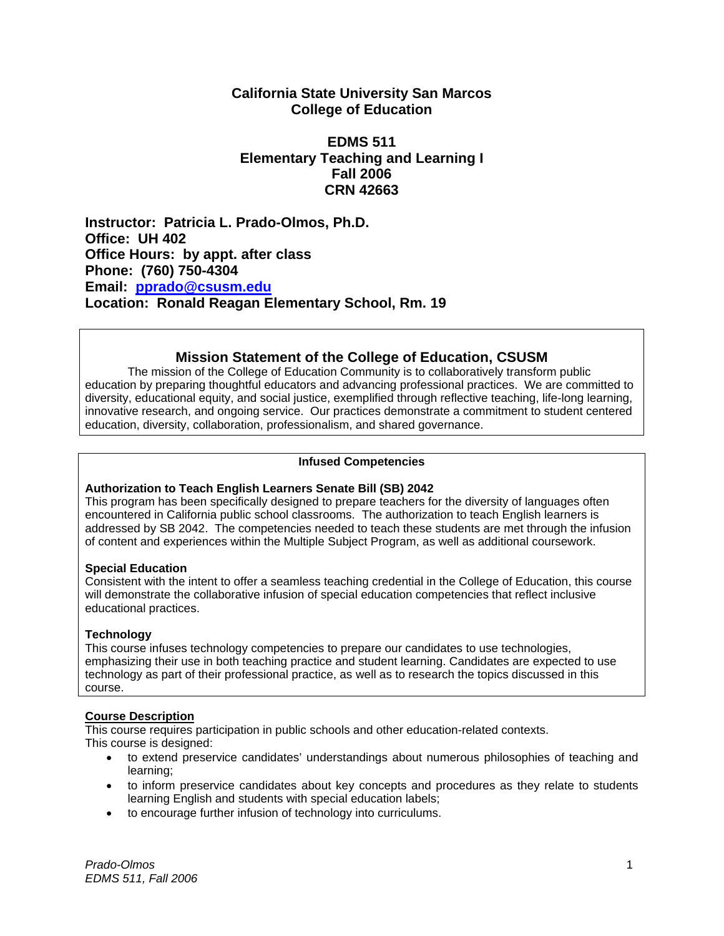# **California State University San Marcos College of Education**

# **EDMS 511 Elementary Teaching and Learning I Fall 2006 CRN 42663**

**Instructor: Patricia L. Prado-Olmos, Ph.D. Office: UH 402 Office Hours: by appt. after class Phone: (760) 750-4304 Email: pprado@csusm.edu Location: Ronald Reagan Elementary School, Rm. 19** 

# **Mission Statement of the College of Education, CSUSM**

The mission of the College of Education Community is to collaboratively transform public education by preparing thoughtful educators and advancing professional practices. We are committed to diversity, educational equity, and social justice, exemplified through reflective teaching, life-long learning, innovative research, and ongoing service. Our practices demonstrate a commitment to student centered education, diversity, collaboration, professionalism, and shared governance.

# **Infused Competencies**

# **Authorization to Teach English Learners Senate Bill (SB) 2042**

This program has been specifically designed to prepare teachers for the diversity of languages often encountered in California public school classrooms. The authorization to teach English learners is addressed by SB 2042. The competencies needed to teach these students are met through the infusion of content and experiences within the Multiple Subject Program, as well as additional coursework.

# **Special Education**

Consistent with the intent to offer a seamless teaching credential in the College of Education, this course will demonstrate the collaborative infusion of special education competencies that reflect inclusive educational practices.

# **Technology**

This course infuses technology competencies to prepare our candidates to use technologies, emphasizing their use in both teaching practice and student learning. Candidates are expected to use technology as part of their professional practice, as well as to research the topics discussed in this course.

# **Course Description**

This course requires participation in public schools and other education-related contexts. This course is designed:

- to extend preservice candidates' understandings about numerous philosophies of teaching and learning;
- to inform preservice candidates about key concepts and procedures as they relate to students learning English and students with special education labels;
- to encourage further infusion of technology into curriculums.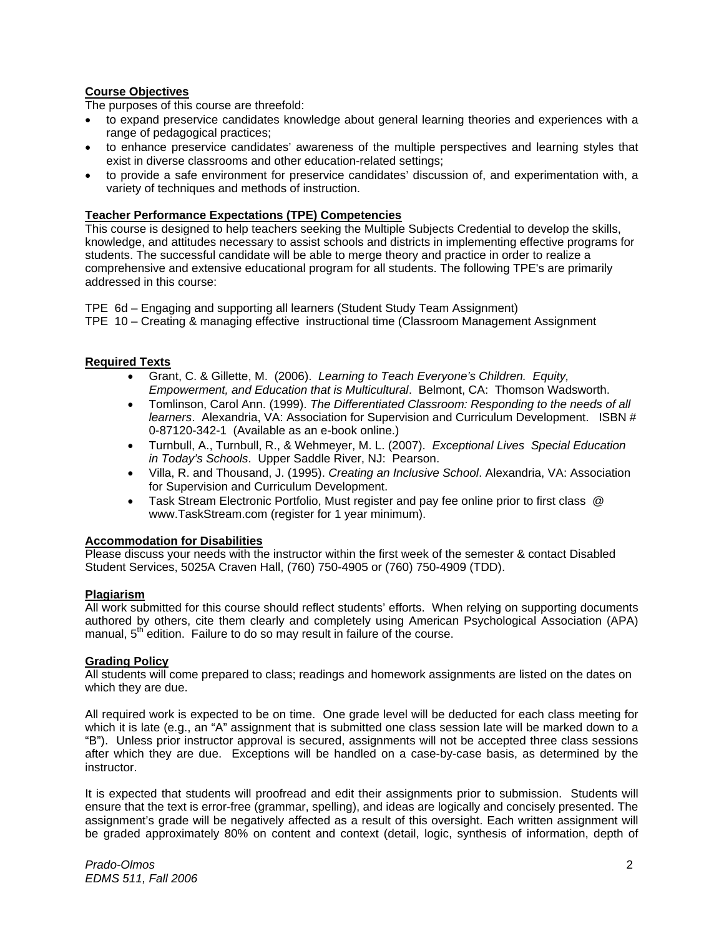# **Course Objectives**

The purposes of this course are threefold:

- to expand preservice candidates knowledge about general learning theories and experiences with a range of pedagogical practices;
- to enhance preservice candidates' awareness of the multiple perspectives and learning styles that exist in diverse classrooms and other education-related settings;
- to provide a safe environment for preservice candidates' discussion of, and experimentation with, a variety of techniques and methods of instruction.

## **Teacher Performance Expectations (TPE) Competencies**

This course is designed to help teachers seeking the Multiple Subjects Credential to develop the skills, knowledge, and attitudes necessary to assist schools and districts in implementing effective programs for students. The successful candidate will be able to merge theory and practice in order to realize a comprehensive and extensive educational program for all students. The following TPE's are primarily addressed in this course:

TPE 6d – Engaging and supporting all learners (Student Study Team Assignment) TPE 10 – Creating & managing effective instructional time (Classroom Management Assignment

### **Required Texts**

- Grant, C. & Gillette, M. (2006). *Learning to Teach Everyone's Children. Equity, Empowerment, and Education that is Multicultural*. Belmont, CA: Thomson Wadsworth.
- Tomlinson, Carol Ann. (1999). *The Differentiated Classroom: Responding to the needs of all learners*. Alexandria, VA: Association for Supervision and Curriculum Development. ISBN # 0-87120-342-1 (Available as an e-book online.)
- Turnbull, A., Turnbull, R., & Wehmeyer, M. L. (2007). *Exceptional Lives Special Education in Today's Schools*. Upper Saddle River, NJ: Pearson.
- Villa, R. and Thousand, J. (1995). *Creating an Inclusive School*. Alexandria, VA: Association for Supervision and Curriculum Development.
- Task Stream Electronic Portfolio, Must register and pay fee online prior to first class @ www.TaskStream.com (register for 1 year minimum).

#### **Accommodation for Disabilities**

Please discuss your needs with the instructor within the first week of the semester & contact Disabled Student Services, 5025A Craven Hall, (760) 750-4905 or (760) 750-4909 (TDD).

#### **Plagiarism**

All work submitted for this course should reflect students' efforts. When relying on supporting documents authored by others, cite them clearly and completely using American Psychological Association (APA) manual,  $5<sup>th</sup>$  edition. Failure to do so may result in failure of the course.

# **Grading Policy**

All students will come prepared to class; readings and homework assignments are listed on the dates on which they are due.

All required work is expected to be on time. One grade level will be deducted for each class meeting for which it is late (e.g., an "A" assignment that is submitted one class session late will be marked down to a "B"). Unless prior instructor approval is secured, assignments will not be accepted three class sessions after which they are due. Exceptions will be handled on a case-by-case basis, as determined by the instructor.

It is expected that students will proofread and edit their assignments prior to submission. Students will ensure that the text is error-free (grammar, spelling), and ideas are logically and concisely presented. The assignment's grade will be negatively affected as a result of this oversight. Each written assignment will be graded approximately 80% on content and context (detail, logic, synthesis of information, depth of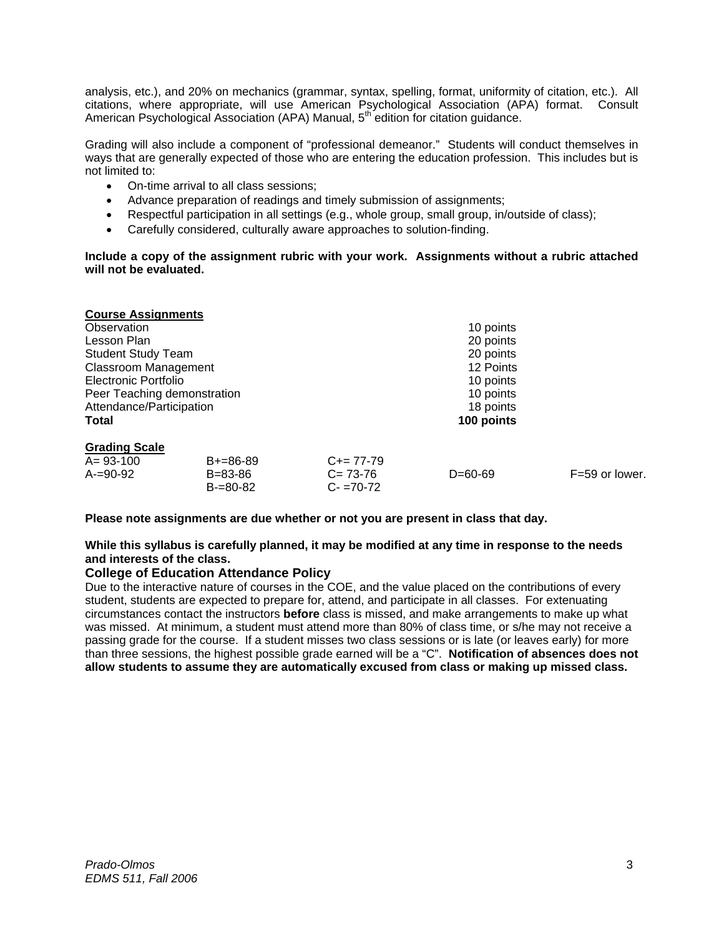analysis, etc.), and 20% on mechanics (grammar, syntax, spelling, format, uniformity of citation, etc.). All citations, where appropriate, will use American Psychological Association (APA) format. Consult American Psychological Association (APA) Manual, 5th edition for citation guidance.

Grading will also include a component of "professional demeanor." Students will conduct themselves in ways that are generally expected of those who are entering the education profession. This includes but is not limited to:

- On-time arrival to all class sessions;
- Advance preparation of readings and timely submission of assignments;
- Respectful participation in all settings (e.g., whole group, small group, in/outside of class);
- Carefully considered, culturally aware approaches to solution-finding.

**Include a copy of the assignment rubric with your work. Assignments without a rubric attached will not be evaluated.** 

| <b>Course Assignments</b>   |               |               |               |                  |  |
|-----------------------------|---------------|---------------|---------------|------------------|--|
| Observation                 |               |               | 10 points     |                  |  |
| Lesson Plan                 |               |               | 20 points     |                  |  |
| <b>Student Study Team</b>   |               |               | 20 points     |                  |  |
| <b>Classroom Management</b> |               |               | 12 Points     |                  |  |
| Electronic Portfolio        |               |               | 10 points     |                  |  |
| Peer Teaching demonstration |               |               | 10 points     |                  |  |
| Attendance/Participation    |               |               | 18 points     |                  |  |
| Total                       |               |               | 100 points    |                  |  |
| <b>Grading Scale</b>        |               |               |               |                  |  |
| $A = 93 - 100$              | $B+=86-89$    | $C+= 77-79$   |               |                  |  |
| $A = 90 - 92$               | $B = 83 - 86$ | $C = 73 - 76$ | $D = 60 - 69$ | $F=59$ or lower. |  |
|                             | $B = 80 - 82$ | $C - 70 - 72$ |               |                  |  |

**Please note assignments are due whether or not you are present in class that day.** 

#### **While this syllabus is carefully planned, it may be modified at any time in response to the needs and interests of the class.**

#### **College of Education Attendance Policy**

Due to the interactive nature of courses in the COE, and the value placed on the contributions of every student, students are expected to prepare for, attend, and participate in all classes. For extenuating circumstances contact the instructors **before** class is missed, and make arrangements to make up what was missed. At minimum, a student must attend more than 80% of class time, or s/he may not receive a passing grade for the course. If a student misses two class sessions or is late (or leaves early) for more than three sessions, the highest possible grade earned will be a "C". **Notification of absences does not allow students to assume they are automatically excused from class or making up missed class.**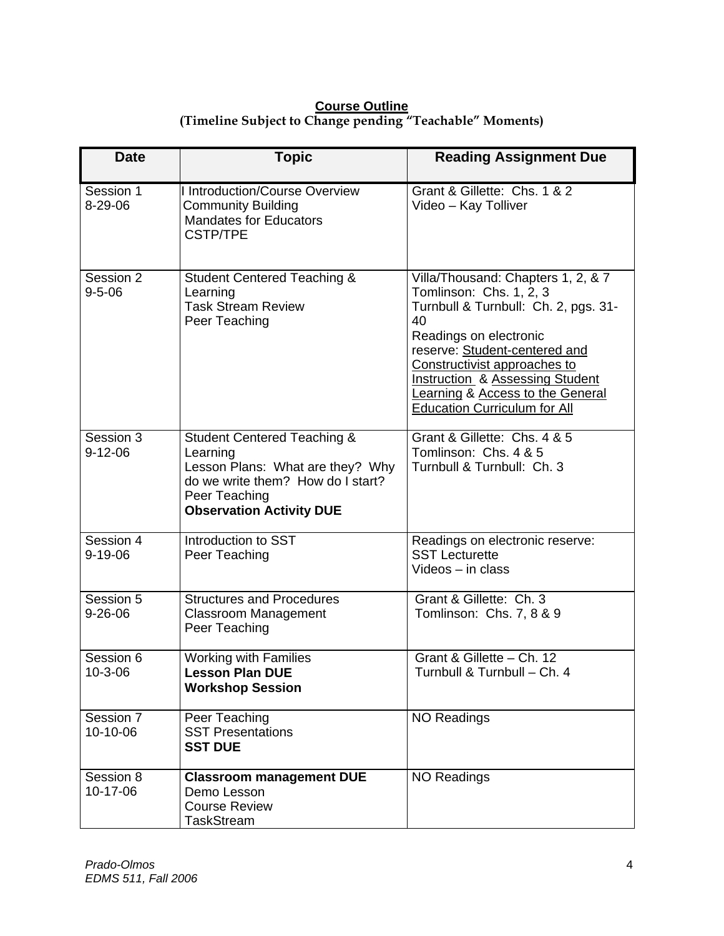# **Course Outline (Timeline Subject to Change pending "Teachable" Moments)**

| <b>Date</b>                | <b>Topic</b>                                                                                                                                                                    | <b>Reading Assignment Due</b>                                                                                                                                                                                                                                                                                                              |
|----------------------------|---------------------------------------------------------------------------------------------------------------------------------------------------------------------------------|--------------------------------------------------------------------------------------------------------------------------------------------------------------------------------------------------------------------------------------------------------------------------------------------------------------------------------------------|
| Session 1<br>8-29-06       | <b>I Introduction/Course Overview</b><br><b>Community Building</b><br><b>Mandates for Educators</b><br><b>CSTP/TPE</b>                                                          | Grant & Gillette: Chs. 1 & 2<br>Video - Kay Tolliver                                                                                                                                                                                                                                                                                       |
| Session 2<br>$9 - 5 - 06$  | <b>Student Centered Teaching &amp;</b><br>Learning<br><b>Task Stream Review</b><br>Peer Teaching                                                                                | Villa/Thousand: Chapters 1, 2, & 7<br>Tomlinson: Chs. 1, 2, 3<br>Turnbull & Turnbull: Ch. 2, pgs. 31-<br>40<br>Readings on electronic<br>reserve: Student-centered and<br>Constructivist approaches to<br><b>Instruction &amp; Assessing Student</b><br><b>Learning &amp; Access to the General</b><br><b>Education Curriculum for All</b> |
| Session 3<br>$9 - 12 - 06$ | <b>Student Centered Teaching &amp;</b><br>Learning<br>Lesson Plans: What are they? Why<br>do we write them? How do I start?<br>Peer Teaching<br><b>Observation Activity DUE</b> | Grant & Gillette: Chs. 4 & 5<br>Tomlinson: Chs. 4 & 5<br>Turnbull & Turnbull: Ch. 3                                                                                                                                                                                                                                                        |
| Session 4<br>$9 - 19 - 06$ | Introduction to SST<br>Peer Teaching                                                                                                                                            | Readings on electronic reserve:<br><b>SST Lecturette</b><br>Videos - in class                                                                                                                                                                                                                                                              |
| Session 5<br>$9 - 26 - 06$ | <b>Structures and Procedures</b><br><b>Classroom Management</b><br>Peer Teaching                                                                                                | Grant & Gillette: Ch. 3<br>Tomlinson: Chs. 7, 8 & 9                                                                                                                                                                                                                                                                                        |
| Session 6<br>10-3-06       | <b>Working with Families</b><br><b>Lesson Plan DUE</b><br><b>Workshop Session</b>                                                                                               | Grant & Gillette - Ch. 12<br>Turnbull & Turnbull - Ch. 4                                                                                                                                                                                                                                                                                   |
| Session 7<br>10-10-06      | Peer Teaching<br><b>SST Presentations</b><br><b>SST DUE</b>                                                                                                                     | <b>NO Readings</b>                                                                                                                                                                                                                                                                                                                         |
| Session 8<br>10-17-06      | <b>Classroom management DUE</b><br>Demo Lesson<br><b>Course Review</b><br><b>TaskStream</b>                                                                                     | <b>NO Readings</b>                                                                                                                                                                                                                                                                                                                         |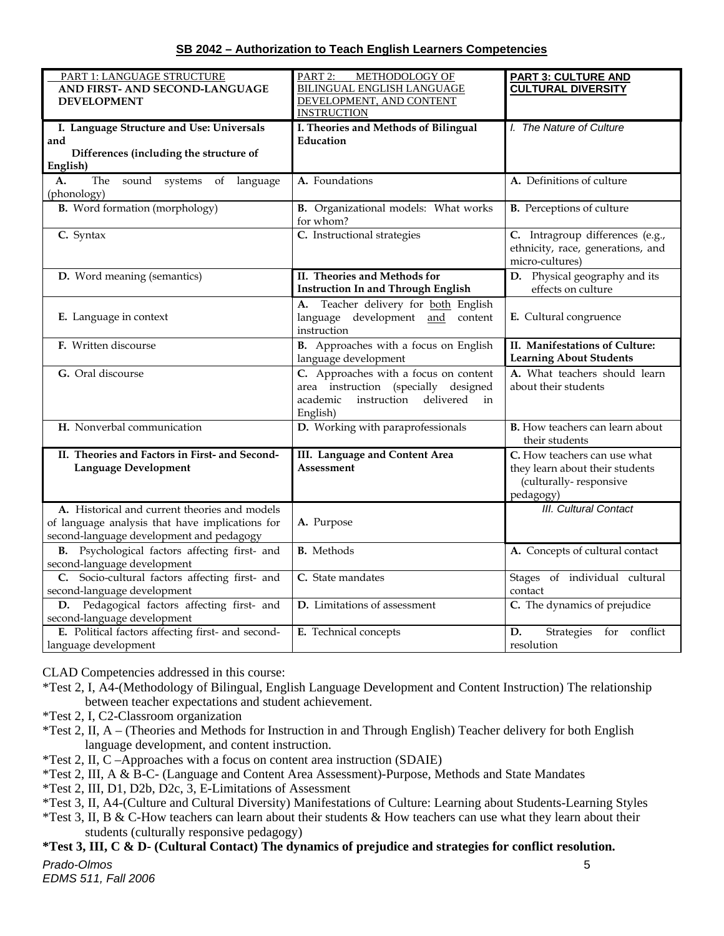# **SB 2042 – Authorization to Teach English Learners Competencies**

| PART 1: LANGUAGE STRUCTURE                        | PART <sub>2:</sub><br>METHODOLOGY OF      | <b>PART 3: CULTURE AND</b>                          |
|---------------------------------------------------|-------------------------------------------|-----------------------------------------------------|
| AND FIRST- AND SECOND-LANGUAGE                    | <b>BILINGUAL ENGLISH LANGUAGE</b>         | <b>CULTURAL DIVERSITY</b>                           |
| <b>DEVELOPMENT</b>                                | DEVELOPMENT, AND CONTENT                  |                                                     |
|                                                   | <b>INSTRUCTION</b>                        |                                                     |
| I. Language Structure and Use: Universals         | I. Theories and Methods of Bilingual      | I. The Nature of Culture                            |
| and                                               | Education                                 |                                                     |
| Differences (including the structure of           |                                           |                                                     |
| English)                                          |                                           |                                                     |
| The sound systems of language<br>A.               | A. Foundations                            | A. Definitions of culture                           |
| (phonology)                                       |                                           |                                                     |
| <b>B.</b> Word formation (morphology)             | B. Organizational models: What works      | <b>B.</b> Perceptions of culture                    |
|                                                   | for whom?                                 |                                                     |
| C. Syntax                                         | C. Instructional strategies               | C. Intragroup differences (e.g.,                    |
|                                                   |                                           | ethnicity, race, generations, and                   |
|                                                   |                                           | micro-cultures)                                     |
|                                                   | II. Theories and Methods for              |                                                     |
| D. Word meaning (semantics)                       |                                           | D. Physical geography and its<br>effects on culture |
|                                                   | <b>Instruction In and Through English</b> |                                                     |
|                                                   | Teacher delivery for both English<br>А.   |                                                     |
| E. Language in context                            | language development and<br>content       | E. Cultural congruence                              |
|                                                   | instruction                               |                                                     |
| F. Written discourse                              | B. Approaches with a focus on English     | II. Manifestations of Culture:                      |
|                                                   | language development                      | <b>Learning About Students</b>                      |
| G. Oral discourse                                 | C. Approaches with a focus on content     | A. What teachers should learn                       |
|                                                   | area instruction (specially designed      | about their students                                |
|                                                   | instruction delivered<br>academic<br>in   |                                                     |
|                                                   | English)                                  |                                                     |
| H. Nonverbal communication                        | D. Working with paraprofessionals         | <b>B.</b> How teachers can learn about              |
|                                                   |                                           | their students                                      |
| II. Theories and Factors in First- and Second-    | III. Language and Content Area            | C. How teachers can use what                        |
| <b>Language Development</b>                       | Assessment                                | they learn about their students                     |
|                                                   |                                           | (culturally-responsive                              |
|                                                   |                                           | pedagogy)                                           |
| A. Historical and current theories and models     |                                           | <b>III.</b> Cultural Contact                        |
|                                                   |                                           |                                                     |
| of language analysis that have implications for   | A. Purpose                                |                                                     |
| second-language development and pedagogy          |                                           |                                                     |
| B. Psychological factors affecting first- and     | <b>B.</b> Methods                         | A. Concepts of cultural contact                     |
| second-language development                       |                                           |                                                     |
| C. Socio-cultural factors affecting first- and    | C. State mandates                         | Stages of individual cultural                       |
| second-language development                       |                                           | contact                                             |
| D. Pedagogical factors affecting first- and       | D. Limitations of assessment              | C. The dynamics of prejudice                        |
| second-language development                       |                                           |                                                     |
| E. Political factors affecting first- and second- | E. Technical concepts                     | D.<br>Strategies for conflict                       |
| language development                              |                                           | resolution                                          |

CLAD Competencies addressed in this course:

- \*Test 2, I, A4-(Methodology of Bilingual, English Language Development and Content Instruction) The relationship between teacher expectations and student achievement.
- \*Test 2, I, C2-Classroom organization
- \*Test 2, II, A (Theories and Methods for Instruction in and Through English) Teacher delivery for both English language development, and content instruction.
- \*Test 2, II, C –Approaches with a focus on content area instruction (SDAIE)
- \*Test 2, III, A & B-C- (Language and Content Area Assessment)-Purpose, Methods and State Mandates
- \*Test 2, III, D1, D2b, D2c, 3, E-Limitations of Assessment
- \*Test 3, II, A4-(Culture and Cultural Diversity) Manifestations of Culture: Learning about Students-Learning Styles
- \*Test 3, II, B & C-How teachers can learn about their students & How teachers can use what they learn about their students (culturally responsive pedagogy)

# **\*Test 3, III, C & D- (Cultural Contact) The dynamics of prejudice and strategies for conflict resolution.**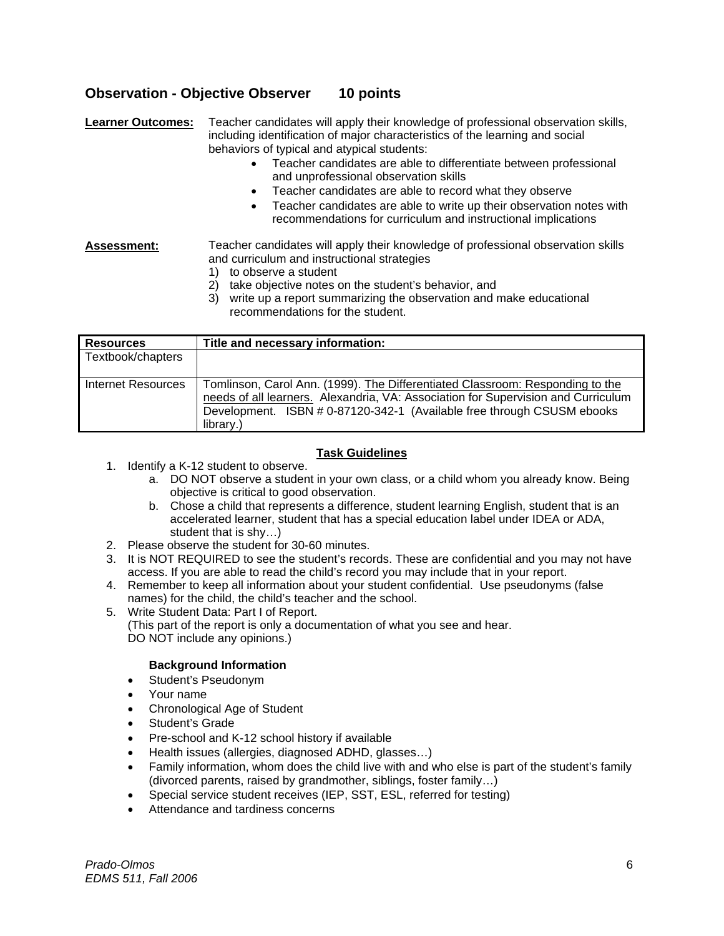# **Observation - Objective Observer 10 points**

**Learner Outcomes:** Teacher candidates will apply their knowledge of professional observation skills, including identification of major characteristics of the learning and social behaviors of typical and atypical students:

- Teacher candidates are able to differentiate between professional and unprofessional observation skills
- Teacher candidates are able to record what they observe
- Teacher candidates are able to write up their observation notes with recommendations for curriculum and instructional implications

### **Assessment:** Teacher candidates will apply their knowledge of professional observation skills and curriculum and instructional strategies

- 1) to observe a student
- 2) take objective notes on the student's behavior, and
- 3) write up a report summarizing the observation and make educational recommendations for the student.

| <b>Resources</b>   | Title and necessary information:                                                                                                                                                                                                                          |
|--------------------|-----------------------------------------------------------------------------------------------------------------------------------------------------------------------------------------------------------------------------------------------------------|
| Textbook/chapters  |                                                                                                                                                                                                                                                           |
| Internet Resources | Tomlinson, Carol Ann. (1999). The Differentiated Classroom: Responding to the<br>needs of all learners. Alexandria, VA: Association for Supervision and Curriculum<br>Development. ISBN # 0-87120-342-1 (Available free through CSUSM ebooks<br>library.) |

# **Task Guidelines**

- 1. Identify a K-12 student to observe.
	- a. DO NOT observe a student in your own class, or a child whom you already know. Being objective is critical to good observation.
	- b. Chose a child that represents a difference, student learning English, student that is an accelerated learner, student that has a special education label under IDEA or ADA, student that is shy…)
- 2. Please observe the student for 30-60 minutes.
- 3. It is NOT REQUIRED to see the student's records. These are confidential and you may not have access. If you are able to read the child's record you may include that in your report.
- 4. Remember to keep all information about your student confidential. Use pseudonyms (false names) for the child, the child's teacher and the school.
- 5. Write Student Data: Part I of Report.

(This part of the report is only a documentation of what you see and hear. DO NOT include any opinions.)

# **Background Information**

- Student's Pseudonym
- Your name
- Chronological Age of Student
- Student's Grade
- Pre-school and K-12 school history if available
- Health issues (allergies, diagnosed ADHD, glasses…)
- Family information, whom does the child live with and who else is part of the student's family (divorced parents, raised by grandmother, siblings, foster family…)
- Special service student receives (IEP, SST, ESL, referred for testing)
- Attendance and tardiness concerns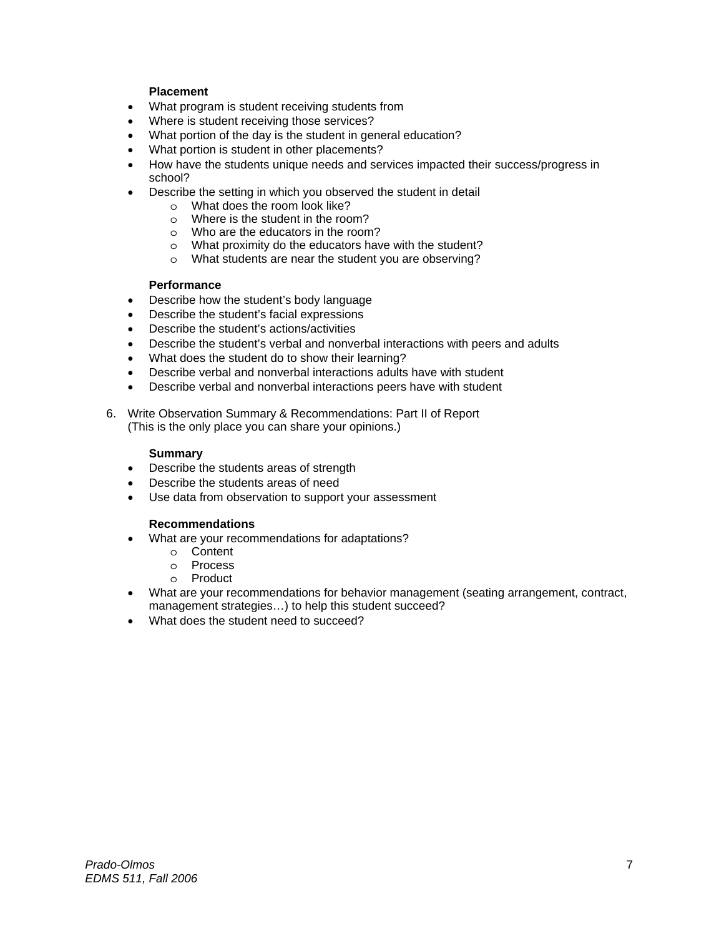# **Placement**

- What program is student receiving students from
- Where is student receiving those services?
- What portion of the day is the student in general education?
- What portion is student in other placements?
- How have the students unique needs and services impacted their success/progress in school?
- Describe the setting in which you observed the student in detail
	- o What does the room look like?
	- o Where is the student in the room?
	- o Who are the educators in the room?
	- o What proximity do the educators have with the student?
	- o What students are near the student you are observing?

# **Performance**

- Describe how the student's body language
- Describe the student's facial expressions
- Describe the student's actions/activities
- Describe the student's verbal and nonverbal interactions with peers and adults
- What does the student do to show their learning?
- Describe verbal and nonverbal interactions adults have with student
- Describe verbal and nonverbal interactions peers have with student
- 6. Write Observation Summary & Recommendations: Part II of Report (This is the only place you can share your opinions.)

#### **Summary**

- Describe the students areas of strength
- Describe the students areas of need
- Use data from observation to support your assessment

#### **Recommendations**

- What are your recommendations for adaptations?
	- o Content
	- o Process
	- o Product
- What are your recommendations for behavior management (seating arrangement, contract, management strategies…) to help this student succeed?
- What does the student need to succeed?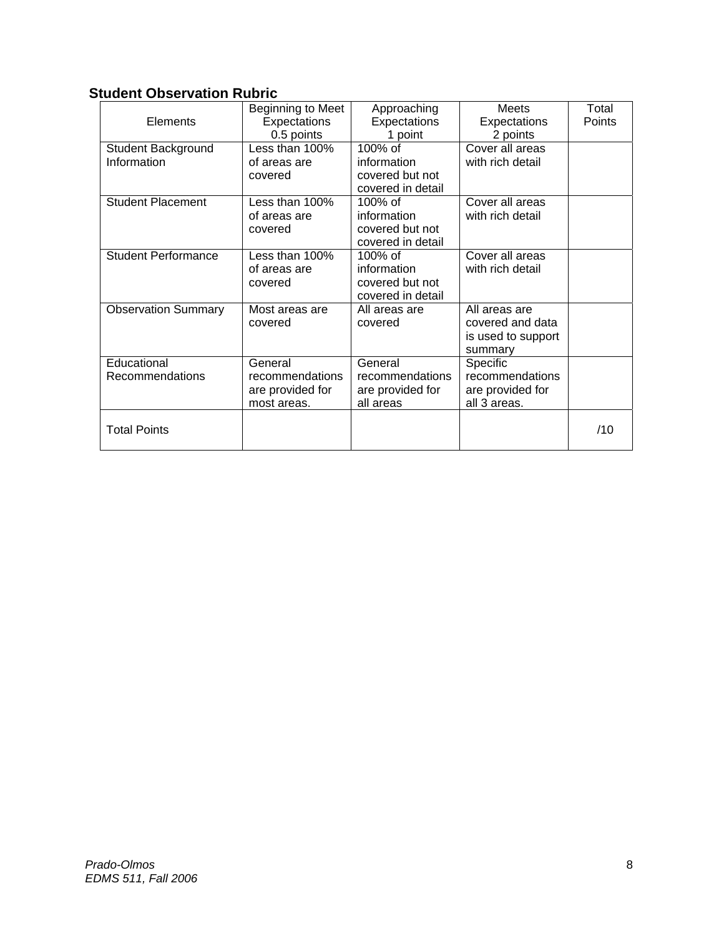# **Student Observation Rubric**

|                            | Beginning to Meet | Approaching       | Meets              | Total  |
|----------------------------|-------------------|-------------------|--------------------|--------|
| Elements                   | Expectations      | Expectations      | Expectations       | Points |
|                            | 0.5 points        | 1 point           | 2 points           |        |
| Student Background         | Less than 100%    | 100% of           | Cover all areas    |        |
| Information                | of areas are      | information       | with rich detail   |        |
|                            | covered           | covered but not   |                    |        |
|                            |                   | covered in detail |                    |        |
| <b>Student Placement</b>   | Less than 100%    | $100\%$ of        | Cover all areas    |        |
|                            | of areas are      | information       | with rich detail   |        |
|                            | covered           | covered but not   |                    |        |
|                            |                   | covered in detail |                    |        |
| <b>Student Performance</b> | Less than 100%    | 100% of           | Cover all areas    |        |
|                            | of areas are      | information       | with rich detail   |        |
|                            | covered           | covered but not   |                    |        |
|                            |                   | covered in detail |                    |        |
| <b>Observation Summary</b> | Most areas are    | All areas are     | All areas are      |        |
|                            | covered           | covered           | covered and data   |        |
|                            |                   |                   | is used to support |        |
|                            |                   |                   | summary            |        |
| Educational                | General           | General           | Specific           |        |
| Recommendations            | recommendations   | recommendations   | recommendations    |        |
|                            | are provided for  | are provided for  | are provided for   |        |
|                            | most areas.       | all areas         | all 3 areas.       |        |
|                            |                   |                   |                    |        |
| <b>Total Points</b>        |                   |                   |                    | /10    |
|                            |                   |                   |                    |        |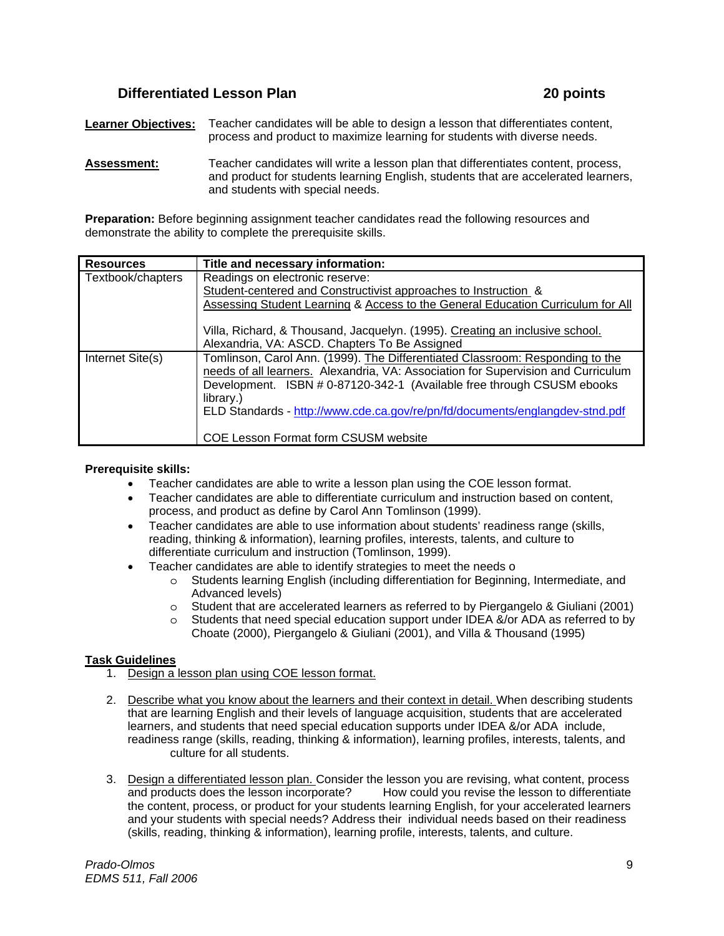# **Differentiated Lesson Plan 20 points** 20 points

**Learner Objectives:** Teacher candidates will be able to design a lesson that differentiates content, process and product to maximize learning for students with diverse needs.

**Assessment:** Teacher candidates will write a lesson plan that differentiates content, process, and product for students learning English, students that are accelerated learners, and students with special needs.

**Preparation:** Before beginning assignment teacher candidates read the following resources and demonstrate the ability to complete the prerequisite skills.

| <b>Resources</b>  | Title and necessary information:                                                                                                                                                                                                                          |
|-------------------|-----------------------------------------------------------------------------------------------------------------------------------------------------------------------------------------------------------------------------------------------------------|
| Textbook/chapters | Readings on electronic reserve:                                                                                                                                                                                                                           |
|                   | Student-centered and Constructivist approaches to Instruction &                                                                                                                                                                                           |
|                   | Assessing Student Learning & Access to the General Education Curriculum for All                                                                                                                                                                           |
|                   | Villa, Richard, & Thousand, Jacquelyn. (1995). Creating an inclusive school.<br>Alexandria, VA: ASCD. Chapters To Be Assigned                                                                                                                             |
|                   |                                                                                                                                                                                                                                                           |
| Internet Site(s)  | Tomlinson, Carol Ann. (1999). The Differentiated Classroom: Responding to the<br>needs of all learners. Alexandria, VA: Association for Supervision and Curriculum<br>Development. ISBN # 0-87120-342-1 (Available free through CSUSM ebooks<br>library.) |
|                   | ELD Standards - http://www.cde.ca.gov/re/pn/fd/documents/englangdev-stnd.pdf                                                                                                                                                                              |
|                   | <b>COE Lesson Format form CSUSM website</b>                                                                                                                                                                                                               |

#### **Prerequisite skills:**

- Teacher candidates are able to write a lesson plan using the COE lesson format.
- Teacher candidates are able to differentiate curriculum and instruction based on content, process, and product as define by Carol Ann Tomlinson (1999).
- Teacher candidates are able to use information about students' readiness range (skills, reading, thinking & information), learning profiles, interests, talents, and culture to differentiate curriculum and instruction (Tomlinson, 1999).
- Teacher candidates are able to identify strategies to meet the needs o
	- o Students learning English (including differentiation for Beginning, Intermediate, and Advanced levels)
	- o Student that are accelerated learners as referred to by Piergangelo & Giuliani (2001)
	- o Students that need special education support under IDEA &/or ADA as referred to by Choate (2000), Piergangelo & Giuliani (2001), and Villa & Thousand (1995)

# **Task Guidelines**

- 1. Design a lesson plan using COE lesson format.
- 2. Describe what you know about the learners and their context in detail. When describing students that are learning English and their levels of language acquisition, students that are accelerated learners, and students that need special education supports under IDEA &/or ADA include, readiness range (skills, reading, thinking & information), learning profiles, interests, talents, and culture for all students.
- 3. Design a differentiated lesson plan. Consider the lesson you are revising, what content, process and products does the lesson incorporate? How could you revise the lesson to differentiate the content, process, or product for your students learning English, for your accelerated learners and your students with special needs? Address their individual needs based on their readiness (skills, reading, thinking & information), learning profile, interests, talents, and culture.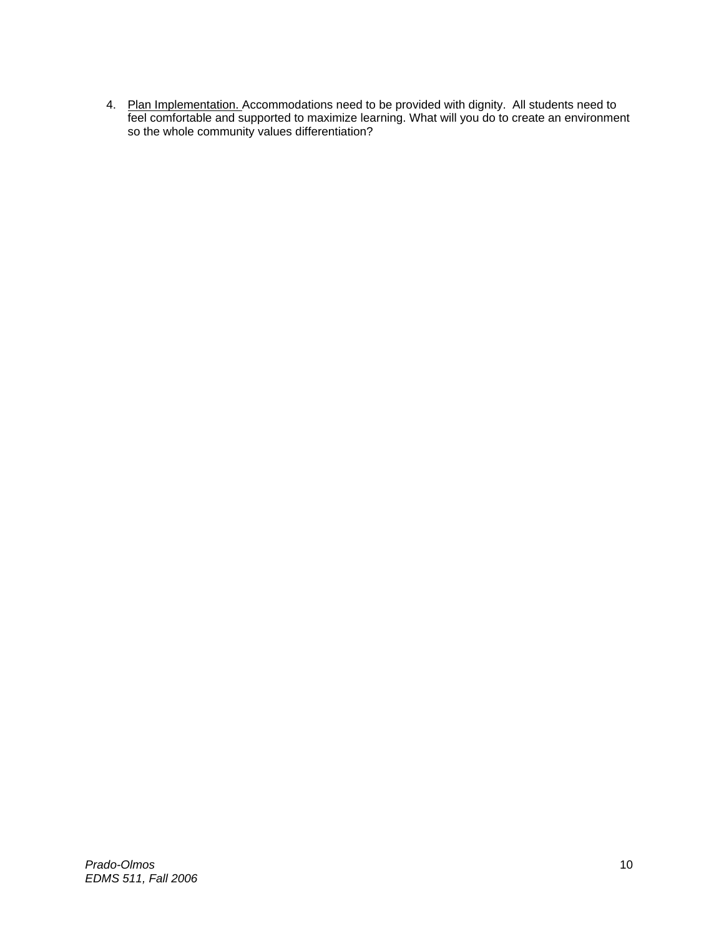4. Plan Implementation. Accommodations need to be provided with dignity. All students need to feel comfortable and supported to maximize learning. What will you do to create an environment so the whole community values differentiation?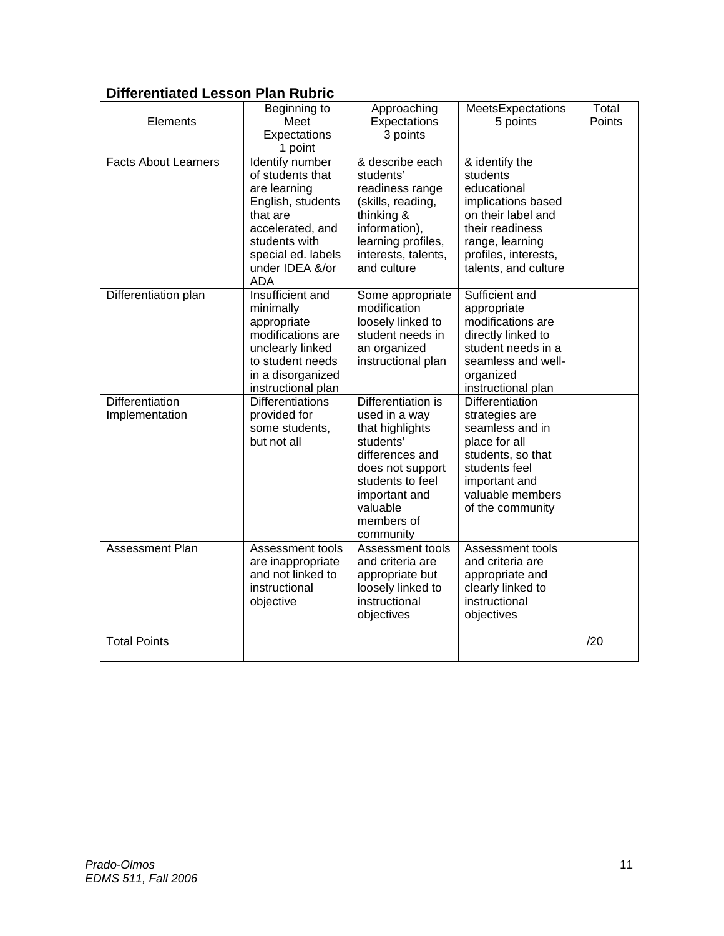# **Differentiated Lesson Plan Rubric**

| Elements                          | Beginning to<br>Meet<br>Expectations<br>1 point                                                                                                                           | Approaching<br>Expectations<br>3 points                                                                                                                                                | MeetsExpectations<br>5 points                                                                                                                                               | Total<br>Points |
|-----------------------------------|---------------------------------------------------------------------------------------------------------------------------------------------------------------------------|----------------------------------------------------------------------------------------------------------------------------------------------------------------------------------------|-----------------------------------------------------------------------------------------------------------------------------------------------------------------------------|-----------------|
| <b>Facts About Learners</b>       | Identify number<br>of students that<br>are learning<br>English, students<br>that are<br>accelerated, and<br>students with<br>special ed. labels<br>under IDEA &/or<br>ADA | & describe each<br>students'<br>readiness range<br>(skills, reading,<br>thinking &<br>information),<br>learning profiles,<br>interests, talents,<br>and culture                        | & identify the<br>students<br>educational<br>implications based<br>on their label and<br>their readiness<br>range, learning<br>profiles, interests,<br>talents, and culture |                 |
| Differentiation plan              | Insufficient and<br>minimally<br>appropriate<br>modifications are<br>unclearly linked<br>to student needs<br>in a disorganized<br>instructional plan                      | Some appropriate<br>modification<br>loosely linked to<br>student needs in<br>an organized<br>instructional plan                                                                        | Sufficient and<br>appropriate<br>modifications are<br>directly linked to<br>student needs in a<br>seamless and well-<br>organized<br>instructional plan                     |                 |
| Differentiation<br>Implementation | <b>Differentiations</b><br>provided for<br>some students,<br>but not all                                                                                                  | Differentiation is<br>used in a way<br>that highlights<br>students'<br>differences and<br>does not support<br>students to feel<br>important and<br>valuable<br>members of<br>community | <b>Differentiation</b><br>strategies are<br>seamless and in<br>place for all<br>students, so that<br>students feel<br>important and<br>valuable members<br>of the community |                 |
| <b>Assessment Plan</b>            | Assessment tools<br>are inappropriate<br>and not linked to<br>instructional<br>objective                                                                                  | Assessment tools<br>and criteria are<br>appropriate but<br>loosely linked to<br>instructional<br>objectives                                                                            | Assessment tools<br>and criteria are<br>appropriate and<br>clearly linked to<br>instructional<br>objectives                                                                 |                 |
| <b>Total Points</b>               |                                                                                                                                                                           |                                                                                                                                                                                        |                                                                                                                                                                             | /20             |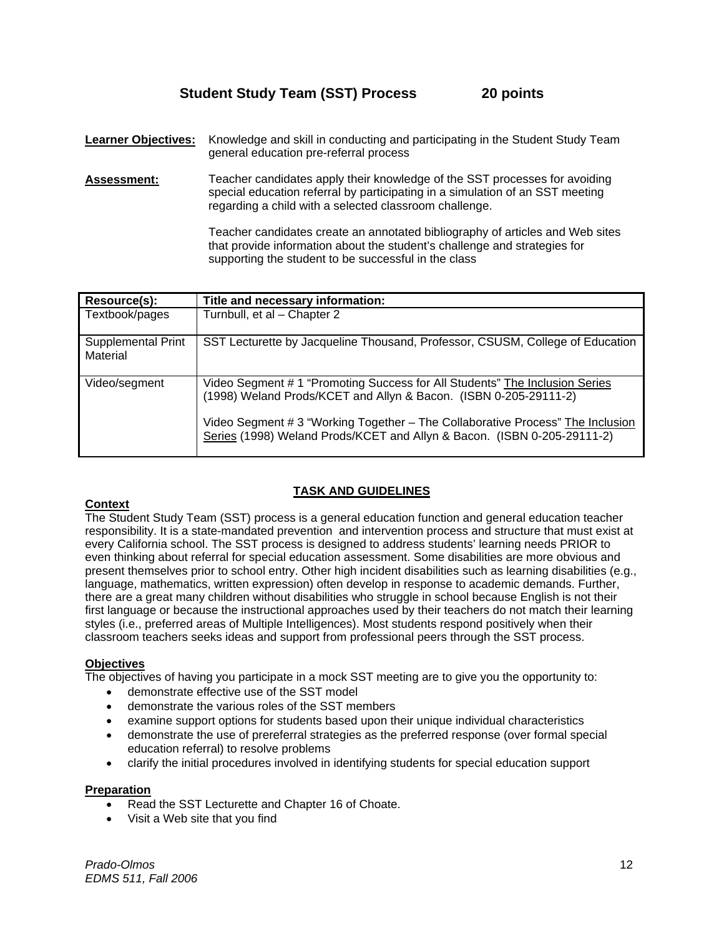# **Student Study Team (SST) Process 20 points**

**Learner Objectives:** Knowledge and skill in conducting and participating in the Student Study Team general education pre-referral process

**Assessment:** Teacher candidates apply their knowledge of the SST processes for avoiding special education referral by participating in a simulation of an SST meeting regarding a child with a selected classroom challenge.

> Teacher candidates create an annotated bibliography of articles and Web sites that provide information about the student's challenge and strategies for supporting the student to be successful in the class

| Resource(s):                   | Title and necessary information:                                                                                                                          |
|--------------------------------|-----------------------------------------------------------------------------------------------------------------------------------------------------------|
| Textbook/pages                 | Turnbull, et al - Chapter 2                                                                                                                               |
| Supplemental Print<br>Material | SST Lecturette by Jacqueline Thousand, Professor, CSUSM, College of Education                                                                             |
| Video/segment                  | Video Segment # 1 "Promoting Success for All Students" The Inclusion Series<br>(1998) Weland Prods/KCET and Allyn & Bacon. (ISBN 0-205-29111-2)           |
|                                | Video Segment # 3 "Working Together - The Collaborative Process" The Inclusion<br>Series (1998) Weland Prods/KCET and Allyn & Bacon. (ISBN 0-205-29111-2) |

# **TASK AND GUIDELINES**

# **Context**

The Student Study Team (SST) process is a general education function and general education teacher responsibility. It is a state-mandated prevention and intervention process and structure that must exist at every California school. The SST process is designed to address students' learning needs PRIOR to even thinking about referral for special education assessment. Some disabilities are more obvious and present themselves prior to school entry. Other high incident disabilities such as learning disabilities (e.g., language, mathematics, written expression) often develop in response to academic demands. Further, there are a great many children without disabilities who struggle in school because English is not their first language or because the instructional approaches used by their teachers do not match their learning styles (i.e., preferred areas of Multiple Intelligences). Most students respond positively when their classroom teachers seeks ideas and support from professional peers through the SST process.

# **Objectives**

The objectives of having you participate in a mock SST meeting are to give you the opportunity to:

- demonstrate effective use of the SST model
- demonstrate the various roles of the SST members
- examine support options for students based upon their unique individual characteristics
- demonstrate the use of prereferral strategies as the preferred response (over formal special education referral) to resolve problems
- clarify the initial procedures involved in identifying students for special education support

#### **Preparation**

- Read the SST Lecturette and Chapter 16 of Choate.
- Visit a Web site that you find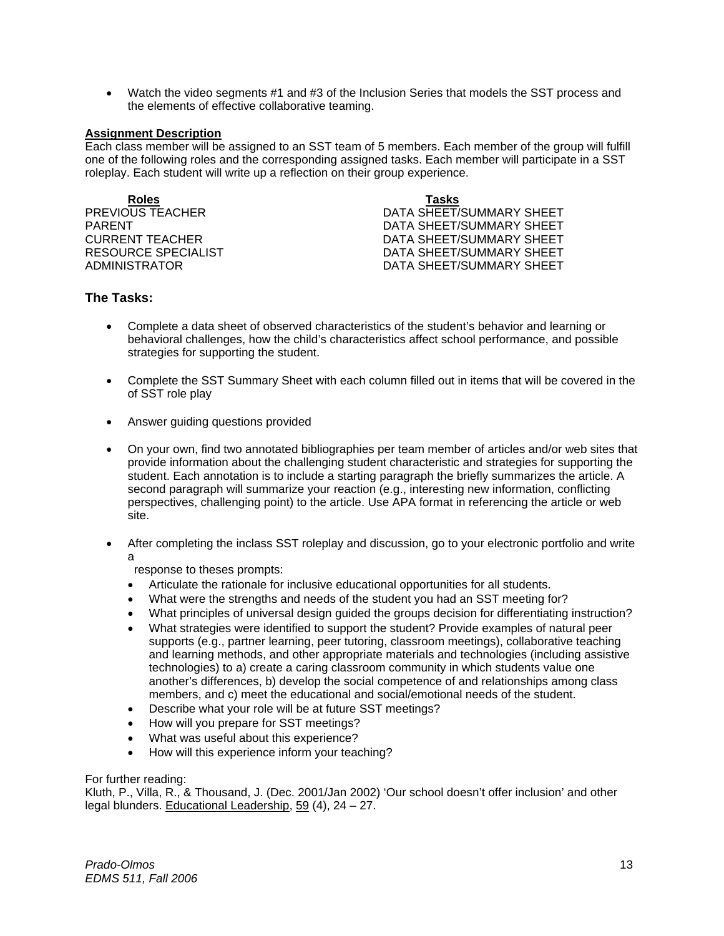• Watch the video segments #1 and #3 of the Inclusion Series that models the SST process and the elements of effective collaborative teaming.

#### **Assignment Description**

Each class member will be assigned to an SST team of 5 members. Each member of the group will fulfill one of the following roles and the corresponding assigned tasks. Each member will participate in a SST roleplay. Each student will write up a reflection on their group experience.

**Roles Tasks**

PREVIOUS TEACHER DATA SHEET/SUMMARY SHEET PARENT PARENT DATA SHEET/SUMMARY SHEET CURRENT TEACHER DATA SHEET/SUMMARY SHEET RESOURCE SPECIALIST **EXECUTE:** DATA SHEET/SUMMARY SHEET ADMINISTRATOR DATA SHEET/SUMMARY SHEET

# **The Tasks:**

- Complete a data sheet of observed characteristics of the student's behavior and learning or behavioral challenges, how the child's characteristics affect school performance, and possible strategies for supporting the student.
- Complete the SST Summary Sheet with each column filled out in items that will be covered in the of SST role play
- Answer guiding questions provided
- On your own, find two annotated bibliographies per team member of articles and/or web sites that provide information about the challenging student characteristic and strategies for supporting the student. Each annotation is to include a starting paragraph the briefly summarizes the article. A second paragraph will summarize your reaction (e.g., interesting new information, conflicting perspectives, challenging point) to the article. Use APA format in referencing the article or web site.
- After completing the inclass SST roleplay and discussion, go to your electronic portfolio and write a

response to theses prompts:

- Articulate the rationale for inclusive educational opportunities for all students.
- What were the strengths and needs of the student you had an SST meeting for?
- What principles of universal design guided the groups decision for differentiating instruction?
- What strategies were identified to support the student? Provide examples of natural peer supports (e.g., partner learning, peer tutoring, classroom meetings), collaborative teaching and learning methods, and other appropriate materials and technologies (including assistive technologies) to a) create a caring classroom community in which students value one another's differences, b) develop the social competence of and relationships among class members, and c) meet the educational and social/emotional needs of the student.
- Describe what your role will be at future SST meetings?
- How will you prepare for SST meetings?
- What was useful about this experience?
- How will this experience inform your teaching?

#### For further reading:

Kluth, P., Villa, R., & Thousand, J. (Dec. 2001/Jan 2002) 'Our school doesn't offer inclusion' and other legal blunders. Educational Leadership, 59 (4), 24 – 27.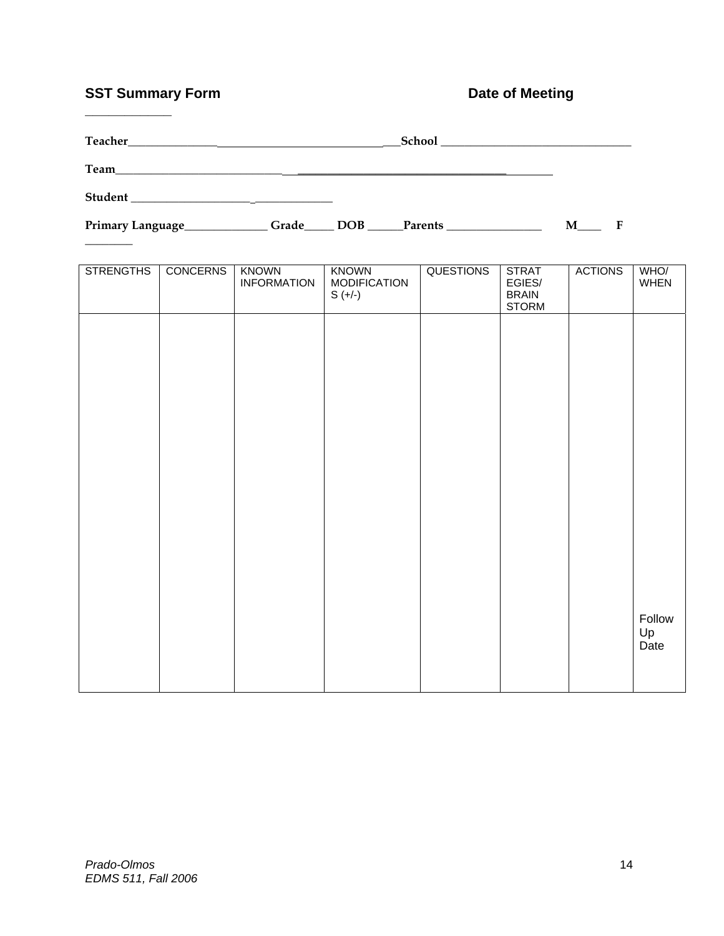# **SST Summary Form Community Community Form Community Party Date of Meeting**

**\_\_\_\_\_\_\_\_\_\_\_** 

| Teacher<br><u> 1980 - Jan Alexandri, manazar amerikan bashkar (</u> |       |  |             |  |   |  |
|---------------------------------------------------------------------|-------|--|-------------|--|---|--|
| Team                                                                |       |  |             |  |   |  |
|                                                                     |       |  |             |  |   |  |
| Primary Language_                                                   | Grade |  | DOB Parents |  | M |  |
|                                                                     |       |  |             |  |   |  |

| <b>STRENGTHS</b> | <b>CONCERNS</b> | <b>KNOWN</b><br><b>INFORMATION</b> | <b>KNOWN</b><br><b>MODIFICATION</b><br>$S (+/-)$ | <b>QUESTIONS</b> | <b>STRAT</b><br>EGIES/<br><b>BRAIN</b><br><b>STORM</b> | <b>ACTIONS</b> | WHO/<br>WHEN         |
|------------------|-----------------|------------------------------------|--------------------------------------------------|------------------|--------------------------------------------------------|----------------|----------------------|
|                  |                 |                                    |                                                  |                  |                                                        |                |                      |
|                  |                 |                                    |                                                  |                  |                                                        |                |                      |
|                  |                 |                                    |                                                  |                  |                                                        |                |                      |
|                  |                 |                                    |                                                  |                  |                                                        |                |                      |
|                  |                 |                                    |                                                  |                  |                                                        |                |                      |
|                  |                 |                                    |                                                  |                  |                                                        |                |                      |
|                  |                 |                                    |                                                  |                  |                                                        |                | Follow<br>Up<br>Date |
|                  |                 |                                    |                                                  |                  |                                                        |                |                      |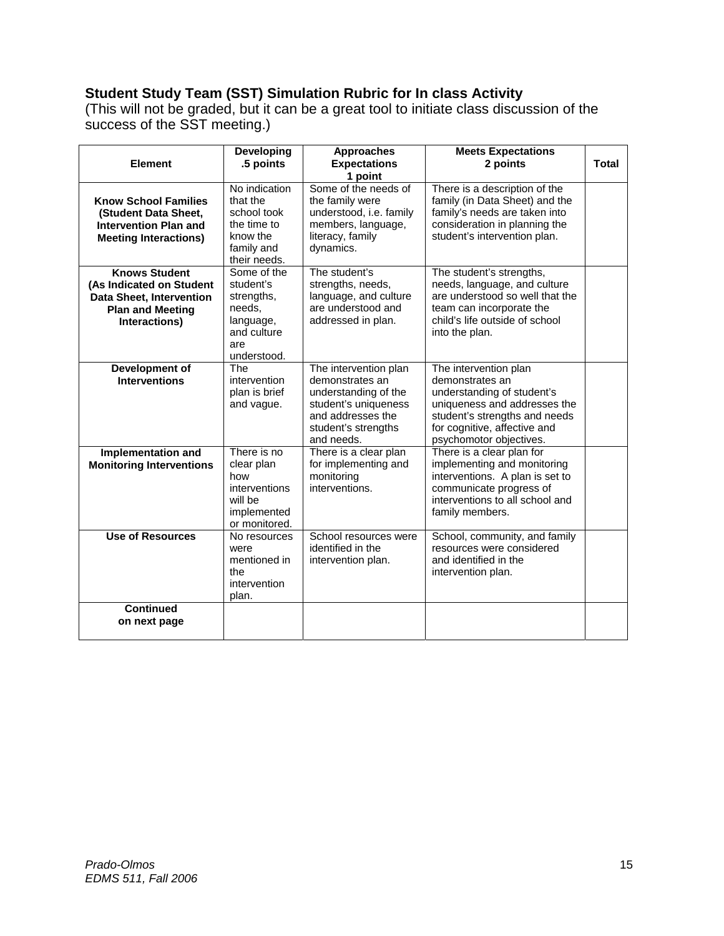# **Student Study Team (SST) Simulation Rubric for In class Activity**

(This will not be graded, but it can be a great tool to initiate class discussion of the success of the SST meeting.)

|                                                                                                                                 | <b>Developing</b>                                                                                  | <b>Approaches</b>                                                                                                                                  | <b>Meets Expectations</b>                                                                                                                                                                          |              |
|---------------------------------------------------------------------------------------------------------------------------------|----------------------------------------------------------------------------------------------------|----------------------------------------------------------------------------------------------------------------------------------------------------|----------------------------------------------------------------------------------------------------------------------------------------------------------------------------------------------------|--------------|
| <b>Element</b>                                                                                                                  | .5 points                                                                                          | <b>Expectations</b>                                                                                                                                | 2 points                                                                                                                                                                                           | <b>Total</b> |
|                                                                                                                                 |                                                                                                    | 1 point                                                                                                                                            |                                                                                                                                                                                                    |              |
| <b>Know School Families</b><br>(Student Data Sheet,<br><b>Intervention Plan and</b><br><b>Meeting Interactions)</b>             | No indication<br>that the<br>school took<br>the time to<br>know the<br>family and<br>their needs.  | Some of the needs of<br>the family were<br>understood, i.e. family<br>members, language,<br>literacy, family<br>dynamics.                          | There is a description of the<br>family (in Data Sheet) and the<br>family's needs are taken into<br>consideration in planning the<br>student's intervention plan.                                  |              |
| <b>Knows Student</b><br>(As Indicated on Student<br><b>Data Sheet, Intervention</b><br><b>Plan and Meeting</b><br>Interactions) | Some of the<br>student's<br>strengths,<br>needs,<br>language,<br>and culture<br>are<br>understood. | The student's<br>strengths, needs,<br>language, and culture<br>are understood and<br>addressed in plan.                                            | The student's strengths,<br>needs, language, and culture<br>are understood so well that the<br>team can incorporate the<br>child's life outside of school<br>into the plan.                        |              |
| Development of<br><b>Interventions</b>                                                                                          | The<br>intervention<br>plan is brief<br>and vague.                                                 | The intervention plan<br>demonstrates an<br>understanding of the<br>student's uniqueness<br>and addresses the<br>student's strengths<br>and needs. | The intervention plan<br>demonstrates an<br>understanding of student's<br>uniqueness and addresses the<br>student's strengths and needs<br>for cognitive, affective and<br>psychomotor objectives. |              |
| Implementation and<br><b>Monitoring Interventions</b>                                                                           | There is no<br>clear plan<br>how<br>interventions<br>will be<br>implemented<br>or monitored.       | There is a clear plan<br>for implementing and<br>monitoring<br>interventions.                                                                      | There is a clear plan for<br>implementing and monitoring<br>interventions. A plan is set to<br>communicate progress of<br>interventions to all school and<br>family members.                       |              |
| <b>Use of Resources</b>                                                                                                         | No resources<br>were<br>mentioned in<br>the<br>intervention<br>plan.                               | School resources were<br>identified in the<br>intervention plan.                                                                                   | School, community, and family<br>resources were considered<br>and identified in the<br>intervention plan.                                                                                          |              |
| <b>Continued</b><br>on next page                                                                                                |                                                                                                    |                                                                                                                                                    |                                                                                                                                                                                                    |              |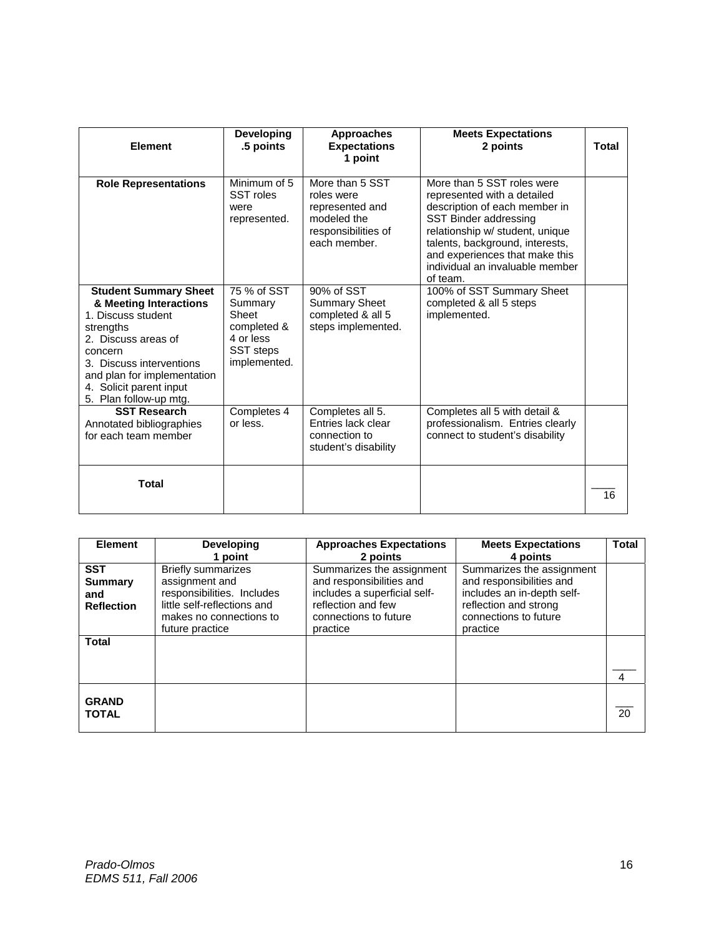| Element                                                                                                                                                                                                                                     | Developing<br>.5 points                                                                         | <b>Approaches</b><br><b>Expectations</b><br>1 point                                                    | <b>Meets Expectations</b><br>2 points                                                                                                                                                                                                                                      | Total |
|---------------------------------------------------------------------------------------------------------------------------------------------------------------------------------------------------------------------------------------------|-------------------------------------------------------------------------------------------------|--------------------------------------------------------------------------------------------------------|----------------------------------------------------------------------------------------------------------------------------------------------------------------------------------------------------------------------------------------------------------------------------|-------|
| <b>Role Representations</b>                                                                                                                                                                                                                 | Minimum of 5<br>SST roles<br>were<br>represented.                                               | More than 5 SST<br>roles were<br>represented and<br>modeled the<br>responsibilities of<br>each member. | More than 5 SST roles were<br>represented with a detailed<br>description of each member in<br>SST Binder addressing<br>relationship w/ student, unique<br>talents, background, interests,<br>and experiences that make this<br>individual an invaluable member<br>of team. |       |
| <b>Student Summary Sheet</b><br>& Meeting Interactions<br>1. Discuss student<br>strengths<br>2. Discuss areas of<br>concern<br>3. Discuss interventions<br>and plan for implementation<br>4. Solicit parent input<br>5. Plan follow-up mtg. | 75 % of SST<br>Summary<br>Sheet<br>completed &<br>4 or less<br><b>SST</b> steps<br>implemented. | 90% of SST<br><b>Summary Sheet</b><br>completed & all 5<br>steps implemented.                          | 100% of SST Summary Sheet<br>completed & all 5 steps<br>implemented.                                                                                                                                                                                                       |       |
| <b>SST Research</b><br>Annotated bibliographies<br>for each team member                                                                                                                                                                     | Completes 4<br>or less.                                                                         | Completes all 5.<br>Entries lack clear<br>connection to<br>student's disability                        | Completes all 5 with detail &<br>professionalism. Entries clearly<br>connect to student's disability                                                                                                                                                                       |       |
| Total                                                                                                                                                                                                                                       |                                                                                                 |                                                                                                        |                                                                                                                                                                                                                                                                            | 16    |

| <b>Element</b>    | Developing                  | <b>Approaches Expectations</b> | <b>Meets Expectations</b>  | <b>Total</b> |
|-------------------|-----------------------------|--------------------------------|----------------------------|--------------|
|                   | 1 point                     | 2 points                       | 4 points                   |              |
| <b>SST</b>        | <b>Briefly summarizes</b>   | Summarizes the assignment      | Summarizes the assignment  |              |
| <b>Summary</b>    | assignment and              | and responsibilities and       | and responsibilities and   |              |
| and               | responsibilities. Includes  | includes a superficial self-   | includes an in-depth self- |              |
| <b>Reflection</b> | little self-reflections and | reflection and few             | reflection and strong      |              |
|                   | makes no connections to     | connections to future          | connections to future      |              |
|                   | future practice             | practice                       | practice                   |              |
| <b>Total</b>      |                             |                                |                            |              |
|                   |                             |                                |                            |              |
|                   |                             |                                |                            |              |
|                   |                             |                                |                            | 4            |
|                   |                             |                                |                            |              |
| <b>GRAND</b>      |                             |                                |                            |              |
| <b>TOTAL</b>      |                             |                                |                            | 20           |
|                   |                             |                                |                            |              |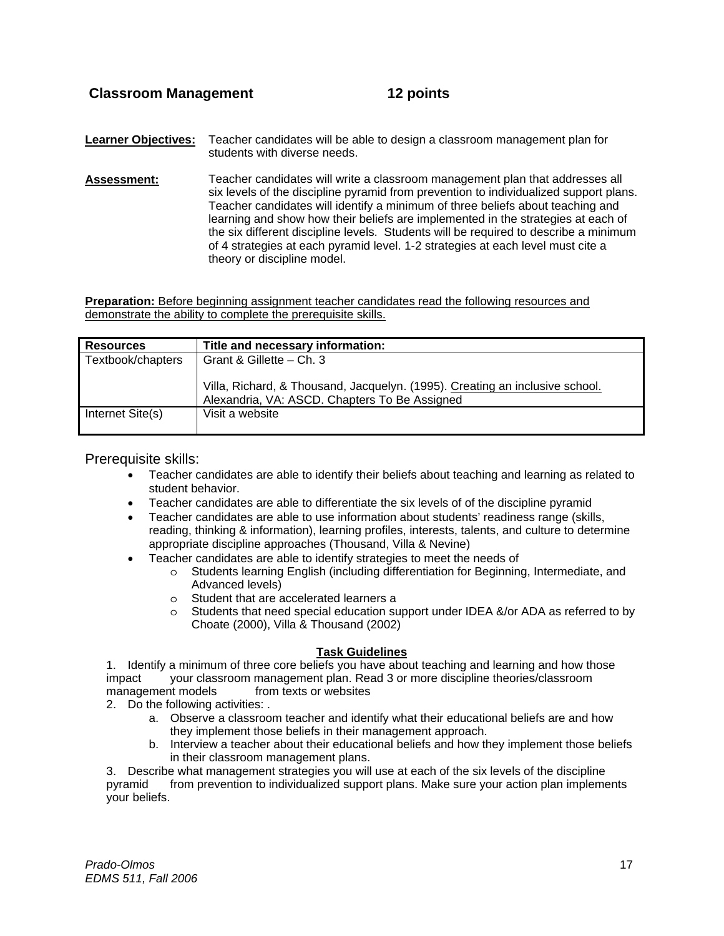**Learner Objectives:** Teacher candidates will be able to design a classroom management plan for students with diverse needs.

**Assessment:** Teacher candidates will write a classroom management plan that addresses all six levels of the discipline pyramid from prevention to individualized support plans. Teacher candidates will identify a minimum of three beliefs about teaching and learning and show how their beliefs are implemented in the strategies at each of the six different discipline levels. Students will be required to describe a minimum of 4 strategies at each pyramid level. 1-2 strategies at each level must cite a theory or discipline model.

**Preparation:** Before beginning assignment teacher candidates read the following resources and demonstrate the ability to complete the prerequisite skills.

| <b>Resources</b>  | Title and necessary information:                                             |
|-------------------|------------------------------------------------------------------------------|
| Textbook/chapters | Grant & Gillette - Ch. 3                                                     |
|                   |                                                                              |
|                   | Villa, Richard, & Thousand, Jacquelyn. (1995). Creating an inclusive school. |
|                   | Alexandria, VA: ASCD. Chapters To Be Assigned                                |
| Internet Site(s)  | Visit a website                                                              |
|                   |                                                                              |

Prerequisite skills:

- Teacher candidates are able to identify their beliefs about teaching and learning as related to student behavior.
- Teacher candidates are able to differentiate the six levels of of the discipline pyramid
- Teacher candidates are able to use information about students' readiness range (skills, reading, thinking & information), learning profiles, interests, talents, and culture to determine appropriate discipline approaches (Thousand, Villa & Nevine)
- Teacher candidates are able to identify strategies to meet the needs of
	- o Students learning English (including differentiation for Beginning, Intermediate, and Advanced levels)
	- o Student that are accelerated learners a<br>
	o Students that need special education su
	- Students that need special education support under IDEA &/or ADA as referred to by Choate (2000), Villa & Thousand (2002)

# **Task Guidelines**

1. Identify a minimum of three core beliefs you have about teaching and learning and how those impact your classroom management plan. Read 3 or more discipline theories/classroom management models from texts or websites

2. Do the following activities: .

- a. Observe a classroom teacher and identify what their educational beliefs are and how they implement those beliefs in their management approach.
- b. Interview a teacher about their educational beliefs and how they implement those beliefs in their classroom management plans.

3. Describe what management strategies you will use at each of the six levels of the discipline pyramid from prevention to individualized support plans. Make sure your action plan implements your beliefs.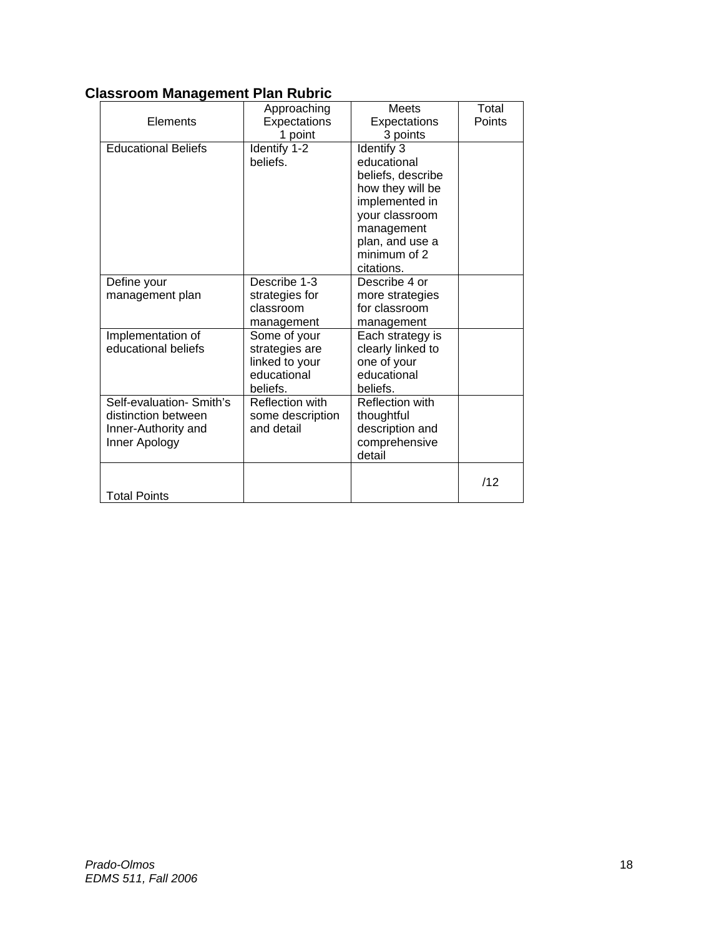# **Classroom Management Plan Rubric**

| Elements                                                                                | Approaching<br>Expectations<br>1 point                                      | <b>Meets</b><br>Expectations<br>3 points                                                                                                                              | Total<br>Points |
|-----------------------------------------------------------------------------------------|-----------------------------------------------------------------------------|-----------------------------------------------------------------------------------------------------------------------------------------------------------------------|-----------------|
| <b>Educational Beliefs</b>                                                              | Identify 1-2<br>beliefs.                                                    | Identify 3<br>educational<br>beliefs, describe<br>how they will be<br>implemented in<br>your classroom<br>management<br>plan, and use a<br>minimum of 2<br>citations. |                 |
| Define your<br>management plan                                                          | Describe 1-3<br>strategies for<br>classroom<br>management                   | Describe 4 or<br>more strategies<br>for classroom<br>management                                                                                                       |                 |
| Implementation of<br>educational beliefs                                                | Some of your<br>strategies are<br>linked to your<br>educational<br>beliefs. | Each strategy is<br>clearly linked to<br>one of your<br>educational<br>beliefs.                                                                                       |                 |
| Self-evaluation- Smith's<br>distinction between<br>Inner-Authority and<br>Inner Apology | <b>Reflection with</b><br>some description<br>and detail                    | <b>Reflection with</b><br>thoughtful<br>description and<br>comprehensive<br>detail                                                                                    |                 |
| <b>Total Points</b>                                                                     |                                                                             |                                                                                                                                                                       | /12             |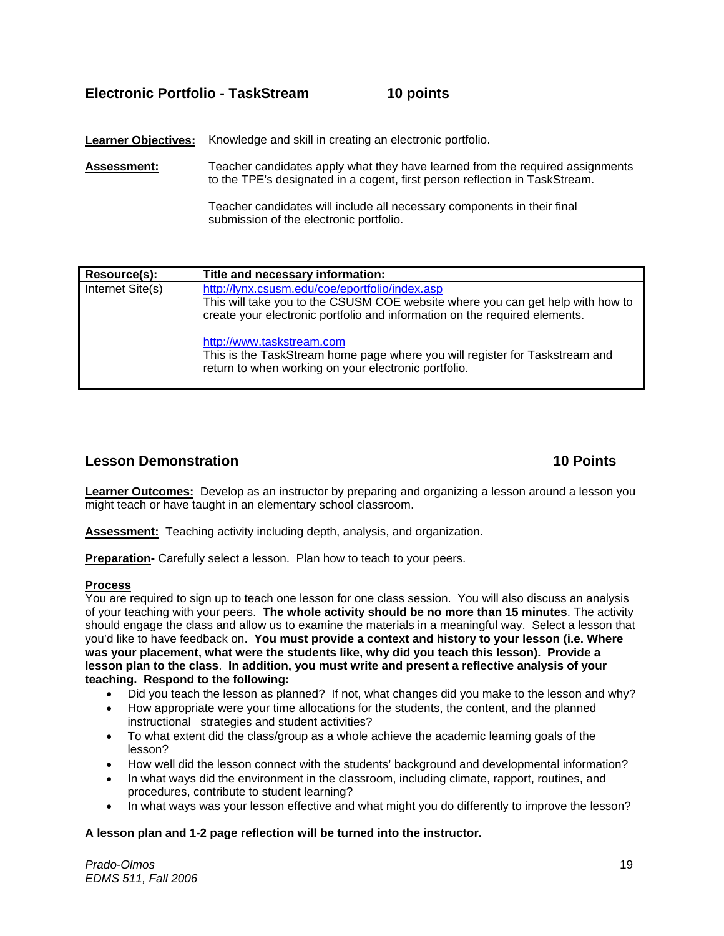# **Electronic Portfolio - TaskStream 10 points**

Learner Objectives: Knowledge and skill in creating an electronic portfolio.

**Assessment:** Teacher candidates apply what they have learned from the required assignments to the TPE's designated in a cogent, first person reflection in TaskStream.

> Teacher candidates will include all necessary components in their final submission of the electronic portfolio.

| Resource(s):     | Title and necessary information:                                                                                                                                                                               |
|------------------|----------------------------------------------------------------------------------------------------------------------------------------------------------------------------------------------------------------|
| Internet Site(s) | http://lynx.csusm.edu/coe/eportfolio/index.asp<br>This will take you to the CSUSM COE website where you can get help with how to<br>create your electronic portfolio and information on the required elements. |
|                  | http://www.taskstream.com<br>This is the TaskStream home page where you will register for Taskstream and<br>return to when working on your electronic portfolio.                                               |

# **Lesson Demonstration 10 Points**

**Learner Outcomes:** Develop as an instructor by preparing and organizing a lesson around a lesson you might teach or have taught in an elementary school classroom.

**Assessment:** Teaching activity including depth, analysis, and organization.

**Preparation-** Carefully select a lesson. Plan how to teach to your peers.

# **Process**

You are required to sign up to teach one lesson for one class session. You will also discuss an analysis of your teaching with your peers. **The whole activity should be no more than 15 minutes**. The activity should engage the class and allow us to examine the materials in a meaningful way. Select a lesson that you'd like to have feedback on. **You must provide a context and history to your lesson (i.e. Where was your placement, what were the students like, why did you teach this lesson). Provide a lesson plan to the class**. **In addition, you must write and present a reflective analysis of your teaching. Respond to the following:**

- Did you teach the lesson as planned? If not, what changes did you make to the lesson and why?
- How appropriate were your time allocations for the students, the content, and the planned instructional strategies and student activities?
- To what extent did the class/group as a whole achieve the academic learning goals of the lesson?
- How well did the lesson connect with the students' background and developmental information?
- In what ways did the environment in the classroom, including climate, rapport, routines, and procedures, contribute to student learning?
- In what ways was your lesson effective and what might you do differently to improve the lesson?

# **A lesson plan and 1-2 page reflection will be turned into the instructor.**

*Prado-Olmos* 19 *EDMS 511, Fall 2006*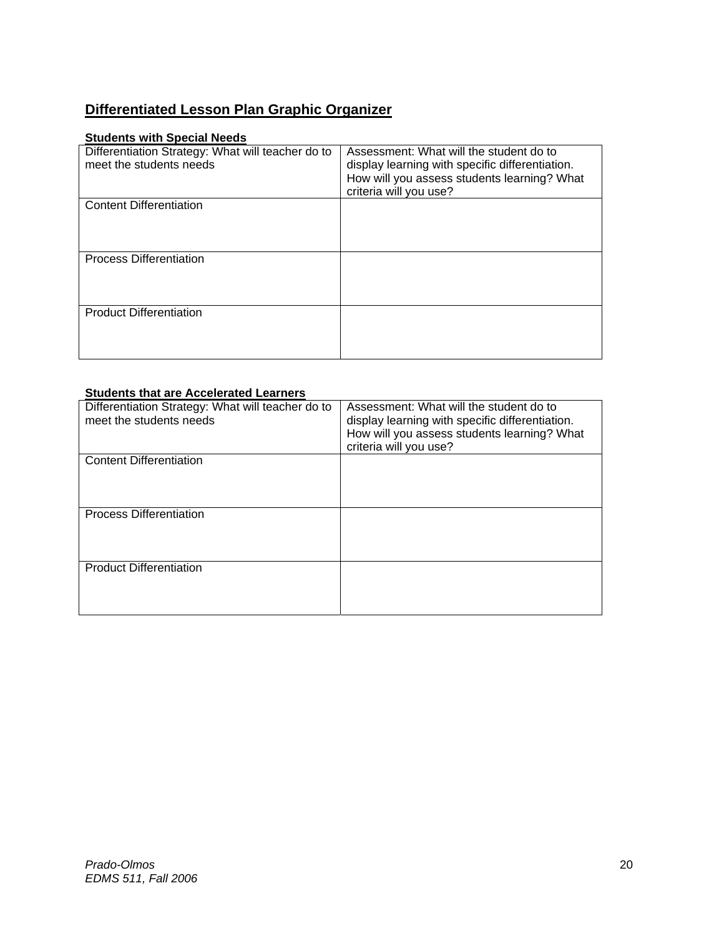# **Differentiated Lesson Plan Graphic Organizer**

# **Students with Special Needs**

| Differentiation Strategy: What will teacher do to<br>meet the students needs | Assessment: What will the student do to<br>display learning with specific differentiation. |
|------------------------------------------------------------------------------|--------------------------------------------------------------------------------------------|
|                                                                              |                                                                                            |
|                                                                              | How will you assess students learning? What                                                |
|                                                                              | criteria will you use?                                                                     |
| <b>Content Differentiation</b>                                               |                                                                                            |
|                                                                              |                                                                                            |
|                                                                              |                                                                                            |
|                                                                              |                                                                                            |
| <b>Process Differentiation</b>                                               |                                                                                            |
|                                                                              |                                                                                            |
|                                                                              |                                                                                            |
|                                                                              |                                                                                            |
|                                                                              |                                                                                            |
| <b>Product Differentiation</b>                                               |                                                                                            |
|                                                                              |                                                                                            |
|                                                                              |                                                                                            |
|                                                                              |                                                                                            |
|                                                                              |                                                                                            |

# **Students that are Accelerated Learners**

| Differentiation Strategy: What will teacher do to<br>meet the students needs | Assessment: What will the student do to<br>display learning with specific differentiation.<br>How will you assess students learning? What<br>criteria will you use? |
|------------------------------------------------------------------------------|---------------------------------------------------------------------------------------------------------------------------------------------------------------------|
| <b>Content Differentiation</b>                                               |                                                                                                                                                                     |
| <b>Process Differentiation</b>                                               |                                                                                                                                                                     |
| <b>Product Differentiation</b>                                               |                                                                                                                                                                     |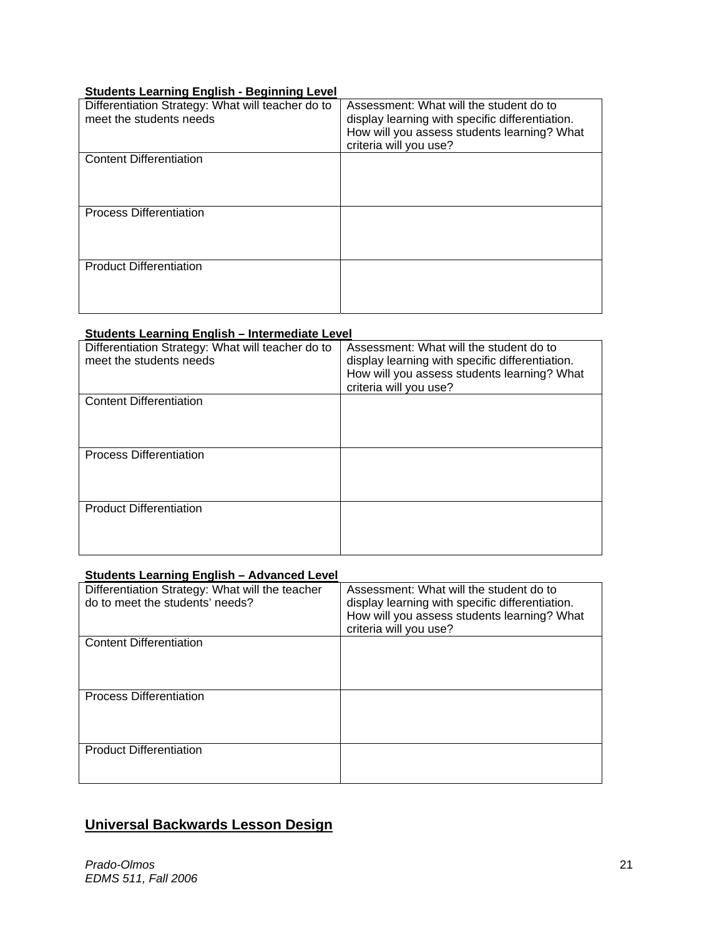# **Students Learning English - Beginning Level**

| $\sim$ = $\sim$ , = ,  = , , =                    |                                                 |
|---------------------------------------------------|-------------------------------------------------|
| Differentiation Strategy: What will teacher do to | Assessment: What will the student do to         |
| meet the students needs                           | display learning with specific differentiation. |
|                                                   | How will you assess students learning? What     |
|                                                   |                                                 |
|                                                   | criteria will you use?                          |
| <b>Content Differentiation</b>                    |                                                 |
|                                                   |                                                 |
|                                                   |                                                 |
|                                                   |                                                 |
|                                                   |                                                 |
| <b>Process Differentiation</b>                    |                                                 |
|                                                   |                                                 |
|                                                   |                                                 |
|                                                   |                                                 |
|                                                   |                                                 |
| <b>Product Differentiation</b>                    |                                                 |
|                                                   |                                                 |
|                                                   |                                                 |
|                                                   |                                                 |
|                                                   |                                                 |
|                                                   |                                                 |

# **Students Learning English – Intermediate Level**

| Differentiation Strategy: What will teacher do to<br>meet the students needs | Assessment: What will the student do to<br>display learning with specific differentiation.<br>How will you assess students learning? What<br>criteria will you use? |
|------------------------------------------------------------------------------|---------------------------------------------------------------------------------------------------------------------------------------------------------------------|
| <b>Content Differentiation</b>                                               |                                                                                                                                                                     |
| <b>Process Differentiation</b>                                               |                                                                                                                                                                     |
| <b>Product Differentiation</b>                                               |                                                                                                                                                                     |

# **Students Learning English – Advanced Level**

| Differentiation Strategy: What will the teacher<br>do to meet the students' needs? | Assessment: What will the student do to<br>display learning with specific differentiation.<br>How will you assess students learning? What<br>criteria will you use? |
|------------------------------------------------------------------------------------|---------------------------------------------------------------------------------------------------------------------------------------------------------------------|
| <b>Content Differentiation</b>                                                     |                                                                                                                                                                     |
| <b>Process Differentiation</b>                                                     |                                                                                                                                                                     |
| <b>Product Differentiation</b>                                                     |                                                                                                                                                                     |

# **Universal Backwards Lesson Design**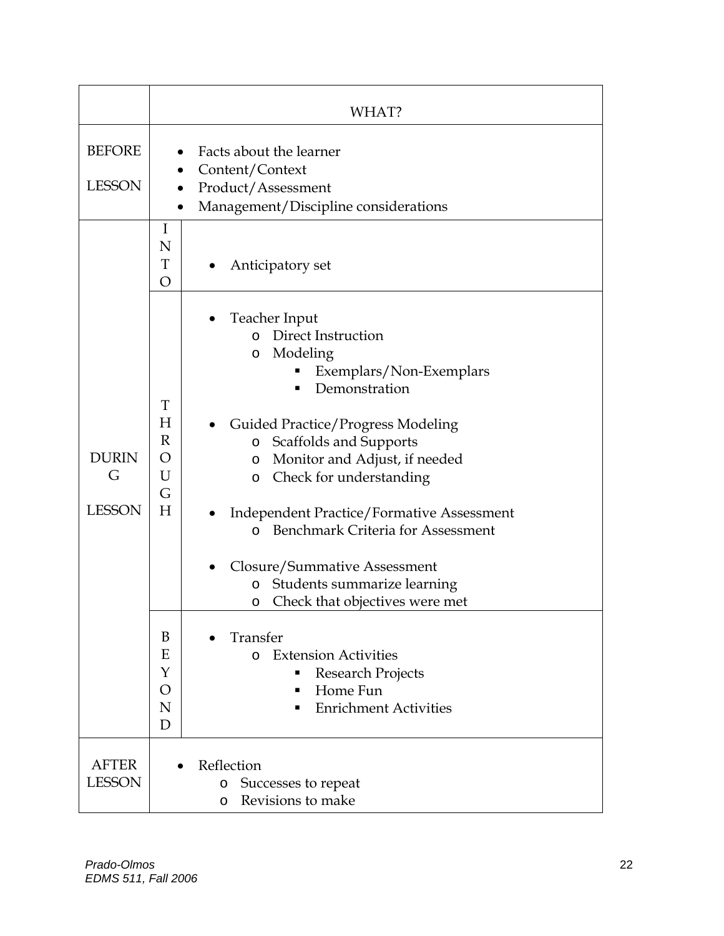|                                    | WHAT?                                                                                                                                                                                                                                                                                                                                                                                                                                                                                                                                                                                                                                                                                               |
|------------------------------------|-----------------------------------------------------------------------------------------------------------------------------------------------------------------------------------------------------------------------------------------------------------------------------------------------------------------------------------------------------------------------------------------------------------------------------------------------------------------------------------------------------------------------------------------------------------------------------------------------------------------------------------------------------------------------------------------------------|
| <b>BEFORE</b><br><b>LESSON</b>     | Facts about the learner<br>Content/Context<br>Product/Assessment<br>Management/Discipline considerations<br>$\bullet$                                                                                                                                                                                                                                                                                                                                                                                                                                                                                                                                                                               |
|                                    | I<br>N<br>T<br>Anticipatory set<br>O                                                                                                                                                                                                                                                                                                                                                                                                                                                                                                                                                                                                                                                                |
| <b>DURIN</b><br>G<br><b>LESSON</b> | Teacher Input<br>o Direct Instruction<br>Modeling<br>O<br>Exemplars/Non-Exemplars<br>Demonstration<br>T<br>H<br><b>Guided Practice/Progress Modeling</b><br>$\mathbb{R}$<br>Scaffolds and Supports<br>$\circ$<br>O<br>Monitor and Adjust, if needed<br>O<br>U<br>Check for understanding<br>$\circ$<br>G<br>H<br><b>Independent Practice/Formative Assessment</b><br>٠<br>Benchmark Criteria for Assessment<br>$\Omega$<br>Closure/Summative Assessment<br>Students summarize learning<br>$\circ$<br>Check that objectives were met<br>O<br>B<br>Transfer<br>Ε<br><b>Extension Activities</b><br>$\Omega$<br>Y<br>Research Projects<br>Home Fun<br>O<br>п<br>N<br><b>Enrichment Activities</b><br>D |
| <b>AFTER</b><br><b>LESSON</b>      | Reflection<br>Successes to repeat<br>$\circ$<br>Revisions to make<br>$\circ$                                                                                                                                                                                                                                                                                                                                                                                                                                                                                                                                                                                                                        |